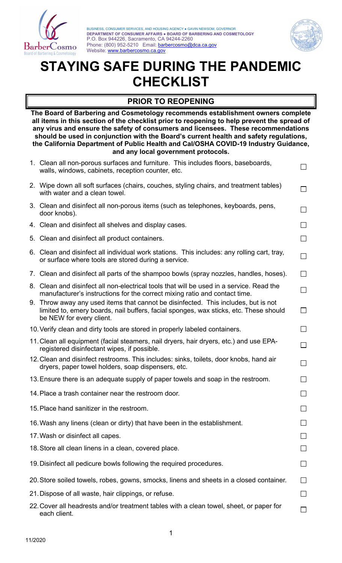

 **DEPARTMENT OF CONSUMER AFFAIRS ● BOARD OF BARBERING AND COSMETOLOGY** BUSINESS, CONSUMER SERVICES, AND HOUSING AGENCY ● GAVIN NEWSOM, GOVERNOR P.O. Box 944226, Sacramento, CA 94244-2260 Phone: (800) 952-5210 Email: barbercosmo@dca.ca.gov Website: www.barbercosmo.ca.gov



# **CHECKLIST PRIOR TO REOPENING STAYING SAFE DURING THE PANDEMIC**

 **any virus and ensure the safety of consumers and licensees. These recommendations The Board of Barbering and Cosmetology recommends establishment owners complete all items in this section of the checklist prior to reopening to help prevent the spread of should be used in conjunction with the Board's current health and safety regulations, the California Department of Public Health and Cal/OSHA COVID-19 Industry Guidance, and any local government protocols.** 

| 1. Clean all non-porous surfaces and furniture. This includes floors, baseboards,<br>walls, windows, cabinets, reception counter, etc.                                                                  |              |
|---------------------------------------------------------------------------------------------------------------------------------------------------------------------------------------------------------|--------------|
| 2. Wipe down all soft surfaces (chairs, couches, styling chairs, and treatment tables)<br>with water and a clean towel.                                                                                 |              |
| 3. Clean and disinfect all non-porous items (such as telephones, keyboards, pens,<br>door knobs).                                                                                                       |              |
| 4. Clean and disinfect all shelves and display cases.                                                                                                                                                   | $\mathsf{L}$ |
| 5. Clean and disinfect all product containers.                                                                                                                                                          |              |
| 6. Clean and disinfect all individual work stations. This includes: any rolling cart, tray,<br>or surface where tools are stored during a service.                                                      | П            |
| 7. Clean and disinfect all parts of the shampoo bowls (spray nozzles, handles, hoses).                                                                                                                  | П            |
| 8. Clean and disinfect all non-electrical tools that will be used in a service. Read the<br>manufacturer's instructions for the correct mixing ratio and contact time.                                  |              |
| 9. Throw away any used items that cannot be disinfected. This includes, but is not<br>limited to, emery boards, nail buffers, facial sponges, wax sticks, etc. These should<br>be NEW for every client. |              |
| 10. Verify clean and dirty tools are stored in properly labeled containers.                                                                                                                             | $\sim$       |
| 11. Clean all equipment (facial steamers, nail dryers, hair dryers, etc.) and use EPA-<br>registered disinfectant wipes, if possible.                                                                   | $\Box$       |
| 12. Clean and disinfect restrooms. This includes: sinks, toilets, door knobs, hand air<br>dryers, paper towel holders, soap dispensers, etc.                                                            | $\Box$       |
| 13. Ensure there is an adequate supply of paper towels and soap in the restroom.                                                                                                                        | $\sim$       |
| 14. Place a trash container near the restroom door.                                                                                                                                                     | $\Box$       |
| 15. Place hand sanitizer in the restroom.                                                                                                                                                               |              |
| 16. Wash any linens (clean or dirty) that have been in the establishment.                                                                                                                               |              |
| 17. Wash or disinfect all capes.                                                                                                                                                                        |              |
| 18. Store all clean linens in a clean, covered place.                                                                                                                                                   |              |
| 19. Disinfect all pedicure bowls following the required procedures.                                                                                                                                     |              |
| 20. Store soiled towels, robes, gowns, smocks, linens and sheets in a closed container.                                                                                                                 |              |
| 21. Dispose of all waste, hair clippings, or refuse.                                                                                                                                                    |              |
| 22. Cover all headrests and/or treatment tables with a clean towel, sheet, or paper for<br>each client.                                                                                                 |              |